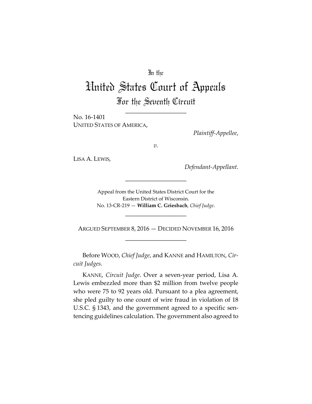# In the

# United States Court of Appeals For the Seventh Circuit

\_\_\_\_\_\_\_\_\_\_\_\_\_\_\_\_\_\_\_\_

No. 16‐1401 UNITED STATES OF AMERICA,

*Plaintiff‐Appellee*,

*v.*

LISA A. LEWIS,

*Defendant‐Appellant*.

Appeal from the United States District Court for the Eastern District of Wisconsin. No. 13‐CR‐219 — **William C. Griesbach**, *Chief Judge*.

\_\_\_\_\_\_\_\_\_\_\_\_\_\_\_\_\_\_\_\_

\_\_\_\_\_\_\_\_\_\_\_\_\_\_\_\_\_\_\_\_

ARGUED SEPTEMBER 8, 2016 — DECIDED NOVEMBER 16, 2016 \_\_\_\_\_\_\_\_\_\_\_\_\_\_\_\_\_\_\_\_

Before WOOD, *Chief Judge*, and KANNE and HAMILTON, *Cir‐ cuit Judges*.

KANNE, *Circuit Judge*. Over a seven‐year period, Lisa A. Lewis embezzled more than \$2 million from twelve people who were 75 to 92 years old. Pursuant to a plea agreement, she pled guilty to one count of wire fraud in violation of 18 U.S.C. § 1343, and the government agreed to a specific sen‐ tencing guidelines calculation. The government also agreed to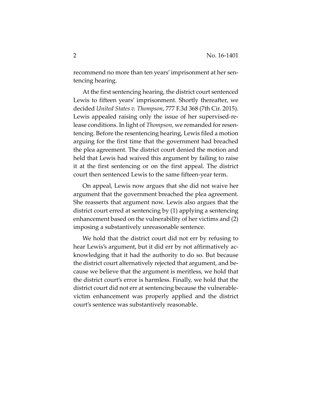recommend no more than ten years' imprisonment at her sentencing hearing.

At the first sentencing hearing, the district court sentenced Lewis to fifteen years' imprisonment. Shortly thereafter, we decided *United States v. Thompson*, 777 F.3d 368 (7th Cir. 2015). Lewis appealed raising only the issue of her supervised-release conditions. In light of *Thompson*, we remanded for resentencing. Before the resentencing hearing, Lewis filed a motion arguing for the first time that the government had breached the plea agreement. The district court denied the motion and held that Lewis had waived this argument by failing to raise it at the first sentencing or on the first appeal. The district court then sentenced Lewis to the same fifteen‐year term.

On appeal, Lewis now argues that she did not waive her argument that the government breached the plea agreement. She reasserts that argument now. Lewis also argues that the district court erred at sentencing by (1) applying a sentencing enhancement based on the vulnerability of her victims and (2) imposing a substantively unreasonable sentence.

We hold that the district court did not err by refusing to hear Lewis's argument, but it did err by not affirmatively acknowledging that it had the authority to do so. But because the district court alternatively rejected that argument, and be‐ cause we believe that the argument is meritless, we hold that the district court's error is harmless. Finally, we hold that the district court did not err at sentencing because the vulnerable‐ victim enhancement was properly applied and the district court's sentence was substantively reasonable.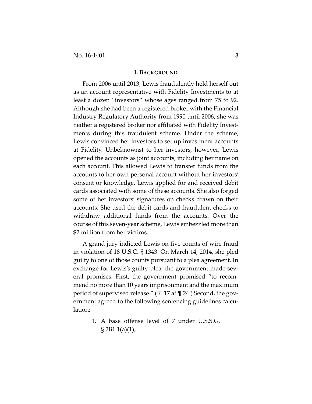#### **I. BACKGROUND**

From 2006 until 2013, Lewis fraudulently held herself out as an account representative with Fidelity Investments to at least a dozen "investors" whose ages ranged from 75 to 92. Although she had been a registered broker with the Financial Industry Regulatory Authority from 1990 until 2006, she was neither a registered broker nor affiliated with Fidelity Invest‐ ments during this fraudulent scheme. Under the scheme, Lewis convinced her investors to set up investment accounts at Fidelity. Unbeknownst to her investors, however, Lewis opened the accounts as joint accounts, including her name on each account. This allowed Lewis to transfer funds from the accounts to her own personal account without her investors' consent or knowledge. Lewis applied for and received debit cards associated with some of these accounts. She also forged some of her investors' signatures on checks drawn on their accounts. She used the debit cards and fraudulent checks to withdraw additional funds from the accounts. Over the course of this seven‐year scheme, Lewis embezzled more than \$2 million from her victims.

A grand jury indicted Lewis on five counts of wire fraud in violation of 18 U.S.C. § 1343. On March 14, 2014, she pled guilty to one of those counts pursuant to a plea agreement. In exchange for Lewis's guilty plea, the government made several promises. First, the government promised "to recom‐ mend no more than 10 years imprisonment and the maximum period of supervised release." (R. 17 at ¶ 24.) Second, the gov‐ ernment agreed to the following sentencing guidelines calculation:

> 1. A base offense level of 7 under U.S.S.G. § 2B1.1(a)(1);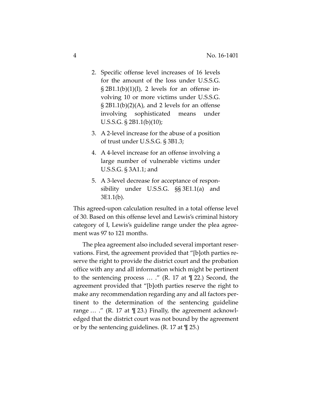- 2. Specific offense level increases of 16 levels for the amount of the loss under U.S.S.G.  $\S 2B1.1(b)(1)(I)$ , 2 levels for an offense involving 10 or more victims under U.S.S.G.  $\S 2B1.1(b)(2)(A)$ , and 2 levels for an offense involving sophisticated means under U.S.S.G. § 2B1.1(b)(10);
- 3. A 2‐level increase for the abuse of a position of trust under U.S.S.G. § 3B1.3;
- 4. A 4‐level increase for an offense involving a large number of vulnerable victims under U.S.S.G. § 3A1.1; and
- 5. A 3‐level decrease for acceptance of respon‐ sibility under U.S.S.G. §§ 3E1.1(a) and 3E1.1(b).

This agreed‐upon calculation resulted in a total offense level of 30. Based on this offense level and Lewis's criminal history category of I, Lewis's guideline range under the plea agree‐ ment was 97 to 121 months.

The plea agreement also included several important reser‐ vations. First, the agreement provided that "[b]oth parties re‐ serve the right to provide the district court and the probation office with any and all information which might be pertinent to the sentencing process … ." (R. 17 at ¶ 22.) Second, the agreement provided that "[b]oth parties reserve the right to make any recommendation regarding any and all factors per‐ tinent to the determination of the sentencing guideline range  $\ldots$  ." (R. 17 at  $\P$  23.) Finally, the agreement acknowledged that the district court was not bound by the agreement or by the sentencing guidelines.  $(R. 17 \text{ at } \mathcal{Z}5)$ .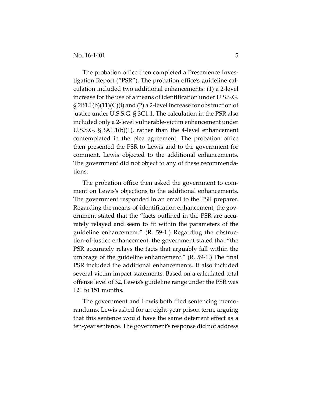The probation office then completed a Presentence Investigation Report ("PSR"). The probation office's guideline cal‐ culation included two additional enhancements: (1) a 2‐level increase for the use of a means of identification under U.S.S.G. § 2B1.1(b)(11)(C)(i) and (2) a 2‐level increase for obstruction of justice under U.S.S.G. § 3C1.1. The calculation in the PSR also included only a 2‐level vulnerable‐victim enhancement under U.S.S.G. § 3A1.1(b)(1), rather than the 4‐level enhancement contemplated in the plea agreement. The probation office then presented the PSR to Lewis and to the government for comment. Lewis objected to the additional enhancements. The government did not object to any of these recommenda‐ tions.

The probation office then asked the government to com‐ ment on Lewis's objections to the additional enhancements. The government responded in an email to the PSR preparer. Regarding the means-of-identification enhancement, the government stated that the "facts outlined in the PSR are accurately relayed and seem to fit within the parameters of the guideline enhancement." (R. 59‐1.) Regarding the obstruc‐ tion‐of‐justice enhancement, the government stated that "the PSR accurately relays the facts that arguably fall within the umbrage of the guideline enhancement." (R. 59‐1.) The final PSR included the additional enhancements. It also included several victim impact statements. Based on a calculated total offense level of 32, Lewis's guideline range under the PSR was 121 to 151 months.

The government and Lewis both filed sentencing memo‐ randums. Lewis asked for an eight‐year prison term, arguing that this sentence would have the same deterrent effect as a ten‐year sentence. The government's response did not address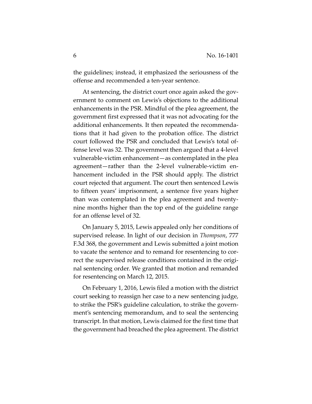the guidelines; instead, it emphasized the seriousness of the offense and recommended a ten‐year sentence.

At sentencing, the district court once again asked the gov‐ ernment to comment on Lewis's objections to the additional enhancements in the PSR. Mindful of the plea agreement, the government first expressed that it was not advocating for the additional enhancements. It then repeated the recommenda‐ tions that it had given to the probation office. The district court followed the PSR and concluded that Lewis's total of‐ fense level was 32. The government then argued that a 4‐level vulnerable‐victim enhancement—as contemplated in the plea agreement—rather than the 2‐level vulnerable‐victim en‐ hancement included in the PSR should apply. The district court rejected that argument. The court then sentenced Lewis to fifteen years' imprisonment, a sentence five years higher than was contemplated in the plea agreement and twenty‐ nine months higher than the top end of the guideline range for an offense level of 32.

On January 5, 2015, Lewis appealed only her conditions of supervised release. In light of our decision in *Thompson*, 777 F.3d 368, the government and Lewis submitted a joint motion to vacate the sentence and to remand for resentencing to cor‐ rect the supervised release conditions contained in the original sentencing order. We granted that motion and remanded for resentencing on March 12, 2015.

On February 1, 2016, Lewis filed a motion with the district court seeking to reassign her case to a new sentencing judge, to strike the PSR's guideline calculation, to strike the govern‐ ment's sentencing memorandum, and to seal the sentencing transcript. In that motion, Lewis claimed for the first time that the government had breached the plea agreement. The district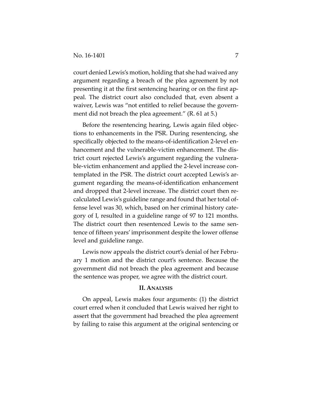court denied Lewis's motion, holding that she had waived any argument regarding a breach of the plea agreement by not presenting it at the first sentencing hearing or on the first ap‐ peal. The district court also concluded that, even absent a waiver, Lewis was "not entitled to relief because the govern‐ ment did not breach the plea agreement." (R. 61 at 5.)

Before the resentencing hearing, Lewis again filed objec‐ tions to enhancements in the PSR. During resentencing, she specifically objected to the means-of-identification 2-level enhancement and the vulnerable‐victim enhancement. The dis‐ trict court rejected Lewis's argument regarding the vulnera‐ ble-victim enhancement and applied the 2-level increase contemplated in the PSR. The district court accepted Lewis's ar‐ gument regarding the means‐of‐identification enhancement and dropped that 2‐level increase. The district court then re‐ calculated Lewis's guideline range and found that her total of‐ fense level was 30, which, based on her criminal history cate‐ gory of I, resulted in a guideline range of 97 to 121 months. The district court then resentenced Lewis to the same sentence of fifteen years' imprisonment despite the lower offense level and guideline range.

Lewis now appeals the district court's denial of her Febru‐ ary 1 motion and the district court's sentence. Because the government did not breach the plea agreement and because the sentence was proper, we agree with the district court.

## **II. ANALYSIS**

On appeal, Lewis makes four arguments: (1) the district court erred when it concluded that Lewis waived her right to assert that the government had breached the plea agreement by failing to raise this argument at the original sentencing or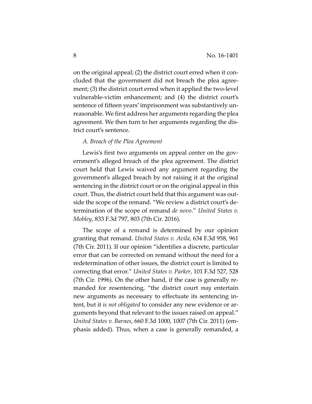on the original appeal; (2) the district court erred when it con‐ cluded that the government did not breach the plea agree‐ ment; (3) the district court erred when it applied the two-level vulnerable‐victim enhancement; and (4) the district court's sentence of fifteen years' imprisonment was substantively un‐ reasonable. We first address her arguments regarding the plea agreement. We then turn to her arguments regarding the dis‐ trict court's sentence.

#### *A. Breach of the Plea Agreement*

Lewis's first two arguments on appeal center on the government's alleged breach of the plea agreement. The district court held that Lewis waived any argument regarding the government's alleged breach by not raising it at the original sentencing in the district court or on the original appeal in this court. Thus, the district court held that this argument was out‐ side the scope of the remand. "We review a district court's de‐ termination of the scope of remand *de novo*." *United States v. Mobley*, 833 F.3d 797, 803 (7th Cir. 2016).

The scope of a remand is determined by our opinion granting that remand. *United States v. Avila*, 634 F.3d 958, 961 (7th Cir. 2011). If our opinion "identifies a discrete, particular error that can be corrected on remand without the need for a redetermination of other issues, the district court is limited to correcting that error." *United States v. Parker*, 101 F.3d 527, 528 (7th Cir. 1996). On the other hand, if the case is generally re‐ manded for resentencing, "the district court *may* entertain new arguments as necessary to effectuate its sentencing in‐ tent, but it *is not obligated* to consider any new evidence or ar‐ guments beyond that relevant to the issues raised on appeal." *United States v. Barnes*, 660 F.3d 1000, 1007 (7th Cir. 2011) (em‐ phasis added). Thus, when a case is generally remanded, a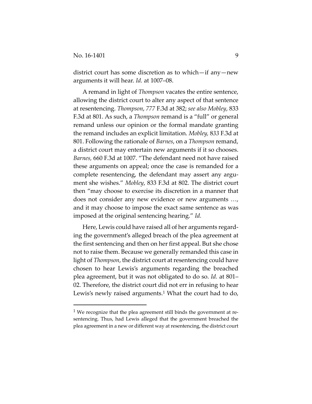district court has some discretion as to which—if any—new arguments it will hear. *Id.* at 1007–08.

A remand in light of *Thompson* vacates the entire sentence, allowing the district court to alter any aspect of that sentence at resentencing. *Thompson*, *777* F.3d at 382; *see also Mobley*, 833 F.3d at 801. As such, a *Thompson* remand is a "full" or general remand unless our opinion or the formal mandate granting the remand includes an explicit limitation. *Mobley,* 8*33* F.3d at 801. Following the rationale of *Barnes*, on a *Thompson* remand, a district court may entertain new arguments if it so chooses. *Barnes,* 660 F.3d at 1007. "The defendant need not have raised these arguments on appeal; once the case is remanded for a complete resentencing, the defendant may assert any argument she wishes." *Mobley*, 833 F.3d at 802. The district court then "may choose to exercise its discretion in a manner that does not consider any new evidence or new arguments …, and it may choose to impose the exact same sentence as was imposed at the original sentencing hearing." *Id.* 

Here, Lewis could have raised all of her arguments regard‐ ing the government's alleged breach of the plea agreement at the first sentencing and then on her first appeal. But she chose not to raise them. Because we generally remanded this case in light of *Thompson*, the district court at resentencing could have chosen to hear Lewis's arguments regarding the breached plea agreement, but it was not obligated to do so. *Id.* at 801– 02. Therefore, the district court did not err in refusing to hear Lewis's newly raised arguments.<sup>1</sup> What the court had to do,

 $1$  We recognize that the plea agreement still binds the government at resentencing. Thus, had Lewis alleged that the government breached the plea agreement in a new or different way at resentencing, the district court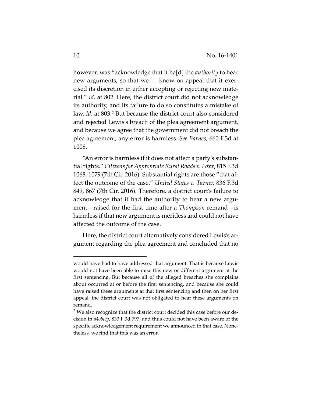however, was "acknowledge that it ha[d] the *authority* to hear new arguments, so that we ... know on appeal that it exercised its discretion in either accepting or rejecting new mate‐ rial." *Id.* at 802. Here, the district court did not acknowledge its authority, and its failure to do so constitutes a mistake of law. *Id.* at 803.2 But because the district court also considered and rejected Lewis's breach of the plea agreement argument, and because we agree that the government did not breach the plea agreement, any error is harmless. *See Barnes*, 660 F.3d at 1008.

"An error is harmless if it does not affect a party's substan‐ tialrights." *Citizensfor Appropriate Rural Roads v. Foxx*, 815 F.3d 1068, 1079 (7th Cir. 2016). Substantial rights are those "that af‐ fect the outcome of the case." *United States v. Turner,* 836 F.3d 849, 867 (7th Cir. 2016). Therefore, a district court's failure to acknowledge that it had the authority to hear a new argument—raised for the first time after a *Thompson* remand—is harmless if that new argument is meritless and could not have affected the outcome of the case.

Here, the district court alternatively considered Lewis's ar‐ gument regarding the plea agreement and concluded that no

would have had to have addressed that argument. That is because Lewis would not have been able to raise this new or different argument at the first sentencing. But because all of the alleged breaches she complains about occurred at or before the first sentencing, and because she could have raised these arguments at that first sentencing and then on her first appeal, the district court was not obligated to hear these arguments on remand.

<sup>2</sup> We also recognize that the district court decided this case before our de‐ cision in *Mobley*, 833 F.3d 797, and thus could not have been aware of the specific acknowledgement requirement we announced in that case. Nonetheless, we find that this was an error.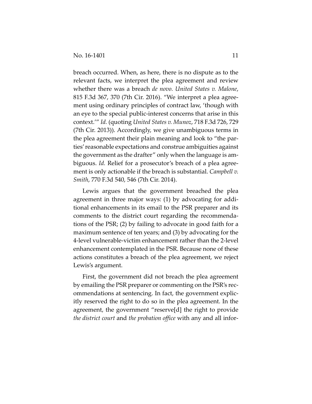breach occurred. When, as here, there is no dispute as to the relevant facts, we interpret the plea agreement and review whether there was a breach *de novo. United States v. Malone*, 815 F.3d 367, 370 (7th Cir. 2016). "We interpret a plea agree‐ ment using ordinary principles of contract law, 'though with an eye to the special public‐interest concerns that arise in this context.'" *Id.* (quoting *United States v. Munoz*, 718 F.3d 726, 729 (7th Cir. 2013)). Accordingly, we give unambiguous terms in the plea agreement their plain meaning and look to "the par‐ ties'reasonable expectations and construe ambiguities against the government as the drafter" only when the language is am‐ biguous. *Id.* Relief for a prosecutor's breach of a plea agreement is only actionable if the breach is substantial. *Campbell v. Smith*, 770 F.3d 540, 546 (7th Cir. 2014).

Lewis argues that the government breached the plea agreement in three major ways: (1) by advocating for addi‐ tional enhancements in its email to the PSR preparer and its comments to the district court regarding the recommenda‐ tions of the PSR; (2) by failing to advocate in good faith for a maximum sentence of ten years; and (3) by advocating for the 4‐level vulnerable‐victim enhancement rather than the 2‐level enhancement contemplated in the PSR. Because none of these actions constitutes a breach of the plea agreement, we reject Lewis's argument.

First, the government did not breach the plea agreement by emailing the PSR preparer or commenting on the PSR's rec‐ ommendations at sentencing. In fact, the government explic‐ itly reserved the right to do so in the plea agreement. In the agreement, the government "reserve[d] the right to provide *the district court* and *the probation office* with any and all infor‐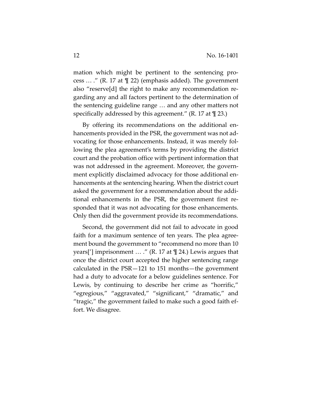mation which might be pertinent to the sentencing pro‐ cess … ." (R. 17 at ¶ 22) (emphasis added). The government also "reserve[d] the right to make any recommendation re‐ garding any and all factors pertinent to the determination of the sentencing guideline range … and any other matters not specifically addressed by this agreement." (R. 17 at  $\P$  23.)

By offering its recommendations on the additional en‐ hancements provided in the PSR, the government was not ad‐ vocating for those enhancements. Instead, it was merely fol‐ lowing the plea agreement's terms by providing the district court and the probation office with pertinent information that was not addressed in the agreement. Moreover, the government explicitly disclaimed advocacy for those additional enhancements at the sentencing hearing. When the district court asked the government for a recommendation about the addi‐ tional enhancements in the PSR, the government first re‐ sponded that it was not advocating for those enhancements. Only then did the government provide its recommendations.

Second, the government did not fail to advocate in good faith for a maximum sentence of ten years. The plea agree‐ ment bound the government to "recommend no more than 10 years['] imprisonment … ." (R. 17 at ¶ 24.) Lewis argues that once the district court accepted the higher sentencing range calculated in the PSR—121 to 151 months—the government had a duty to advocate for a below guidelines sentence. For Lewis, by continuing to describe her crime as "horrific," "egregious," "aggravated," "significant," "dramatic," and "tragic," the government failed to make such a good faith ef‐ fort. We disagree.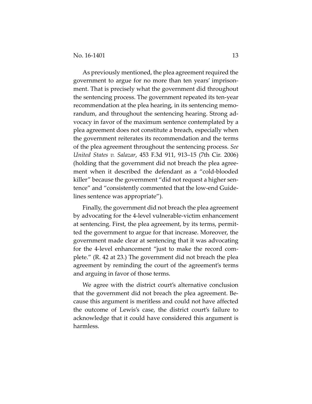As previously mentioned, the plea agreement required the government to argue for no more than ten years' imprison‐ ment. That is precisely what the government did throughout the sentencing process. The government repeated its ten‐year recommendation at the plea hearing, in its sentencing memo‐ randum, and throughout the sentencing hearing. Strong ad‐ vocacy in favor of the maximum sentence contemplated by a plea agreement does not constitute a breach, especially when the government reiterates its recommendation and the terms of the plea agreement throughout the sentencing process. *See United States v. Salazar*, 453 F.3d 911, 913–15 (7th Cir. 2006) (holding that the government did not breach the plea agree‐ ment when it described the defendant as a "cold‐blooded killer" because the government "did not request a higher sentence" and "consistently commented that the low-end Guidelines sentence was appropriate").

Finally, the government did not breach the plea agreement by advocating for the 4‐level vulnerable‐victim enhancement at sentencing. First, the plea agreement, by its terms, permit‐ ted the government to argue for that increase. Moreover, the government made clear at sentencing that it was advocating for the 4-level enhancement "just to make the record complete." (R. 42 at 23.) The government did not breach the plea agreement by reminding the court of the agreement's terms and arguing in favor of those terms.

We agree with the district court's alternative conclusion that the government did not breach the plea agreement. Be‐ cause this argument is meritless and could not have affected the outcome of Lewis's case, the district court's failure to acknowledge that it could have considered this argument is harmless.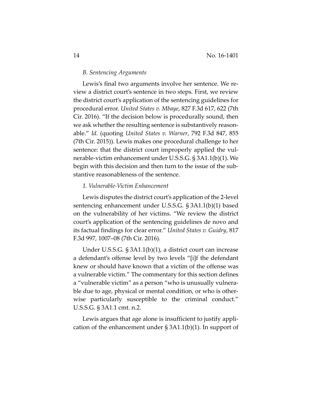#### *B. Sentencing Arguments*

Lewis's final two arguments involve her sentence. We re‐ view a district court's sentence in two steps. First, we review the district court's application of the sentencing guidelines for procedural error. *United States v. Mbaye*, 827 F.3d 617, 622 (7th Cir. 2016). "If the decision below is procedurally sound, then we ask whether the resulting sentence is substantively reasonable." *Id.* (quoting *United States v. Warner*, 792 F.3d 847, 855 (7th Cir. 2015)). Lewis makes one procedural challenge to her sentence: that the district court improperly applied the vulnerable‐victim enhancement under U.S.S.G. § 3A1.1(b)(1). We begin with this decision and then turn to the issue of the sub‐ stantive reasonableness of the sentence.

#### *1. Vulnerable‐Victim Enhancement*

Lewis disputes the district court's application of the 2‐level sentencing enhancement under U.S.S.G. § 3A1.1(b)(1) based on the vulnerability of her victims. "We review the district court's application of the sentencing guidelines de novo and its factual findings for clear error." *United States v. Guidry*, 817 F.3d 997, 1007–08 (7th Cir. 2016).

Under U.S.S.G. § 3A1.1(b)(1), a district court can increase a defendant's offense level by two levels "[i]f the defendant knew or should have known that a victim of the offense was a vulnerable victim." The commentary for this section defines a "vulnerable victim" as a person "who is unusually vulnera‐ ble due to age, physical or mental condition, or who is otherwise particularly susceptible to the criminal conduct." U.S.S.G. § 3A1.1 cmt. n.2.

Lewis argues that age alone is insufficient to justify appli‐ cation of the enhancement under § 3A1.1(b)(1). In support of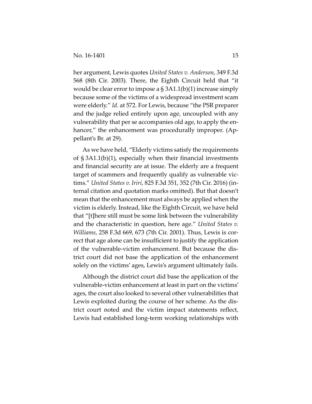her argument, Lewis quotes *United States v. Anderson*, 349 F.3d 568 (8th Cir. 2003). There, the Eighth Circuit held that "it would be clear error to impose a  $\S 3A1.1(b)(1)$  increase simply because some of the victims of a widespread investment scam were elderly." *Id.* at 572. For Lewis, because "the PSR preparer and the judge relied entirely upon age, uncoupled with any vulnerability that per se accompanies old age, to apply the en‐ hancer," the enhancement was procedurally improper. (Appellant's Br. at 29).

As we have held, "Elderly victims satisfy the requirements of § 3A1.1(b)(1), especially when their financial investments and financial security are at issue. The elderly are a frequent target of scammers and frequently qualify as vulnerable vic‐ tims." *United States v. Iriri*, 825 F.3d 351, 352 (7th Cir. 2016) (in‐ ternal citation and quotation marks omitted). But that doesn't mean that the enhancement must always be applied when the victim is elderly. Instead, like the Eighth Circuit, we have held that "[t]here still must be some link between the vulnerability and the characteristic in question, here age." *United States v. Williams*, 258 F.3d 669, 673 (7th Cir. 2001). Thus, Lewis is cor‐ rect that age alone can be insufficient to justify the application of the vulnerable‐victim enhancement. But because the dis‐ trict court did not base the application of the enhancement solely on the victims' ages, Lewis's argument ultimately fails.

Although the district court did base the application of the vulnerable‐victim enhancement at least in part on the victims' ages, the court also looked to several other vulnerabilities that Lewis exploited during the course of her scheme. As the dis‐ trict court noted and the victim impact statements reflect, Lewis had established long-term working relationships with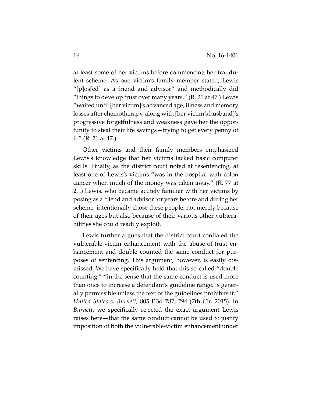at least some of her victims before commencing her fraudu‐ lent scheme. As one victim's family member stated, Lewis "[p]os[ed] as a friend and advisor" and methodically did "things to develop trust over many years." (R. 21 at 47.) Lewis "waited until [her victim]'s advanced age, illness and memory losses after chemotherapy, along with [her victim's husband]'s progressive forgetfulness and weakness gave her the oppor‐ tunity to steal their life savings—trying to get every penny of it." (R. 21 at 47.)

Other victims and their family members emphasized Lewis's knowledge that her victims lacked basic computer skills. Finally, as the district court noted at resentencing, at least one of Lewis's victims "was in the hospital with colon cancer when much of the money was taken away." (R. 77 at 21.) Lewis, who became acutely familiar with her victims by posing as a friend and advisor for years before and during her scheme, intentionally chose these people, not merely because of their ages but also because of their various other vulnera‐ bilities she could readily exploit.

Lewis further argues that the district court conflated the vulnerable‐victim enhancement with the abuse‐of‐trust en‐ hancement and double counted the same conduct for purposes of sentencing. This argument, however, is easily dis‐ missed. We have specifically held that this so-called "double" counting," "in the sense that the same conduct is used more than once to increase a defendant's guideline range, is gener‐ ally permissible unless the text of the guidelines prohibits it." *United States v. Burnett*, 805 F.3d 787, 794 (7th Cir. 2015). In *Burnett*, we specifically rejected the exact argument Lewis raises here—that the same conduct cannot be used to justify imposition of both the vulnerable‐victim enhancement under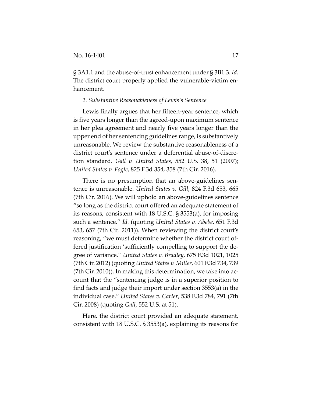§ 3A1.1 and the abuse‐of‐trust enhancement under § 3B1.3. *Id.* The district court properly applied the vulnerable‐victim en‐ hancement.

#### *2. Substantive Reasonableness of Lewis's Sentence*

Lewis finally argues that her fifteen‐year sentence, which is five years longer than the agreed‐upon maximum sentence in her plea agreement and nearly five years longer than the upper end of her sentencing guidelines range, is substantively unreasonable. We review the substantive reasonableness of a district court's sentence under a deferential abuse‐of‐discre‐ tion standard. *Gall v. United States*, 552 U.S. 38, 51 (2007); *United States v. Fogle*, 825 F.3d 354, 358 (7th Cir. 2016).

There is no presumption that an above‐guidelines sen‐ tence is unreasonable. *United States v. Gill*, 824 F.3d 653, 665 (7th Cir. 2016). We will uphold an above‐guidelines sentence "so long as the district court offered an adequate statement of its reasons, consistent with 18 U.S.C. § 3553(a), for imposing such a sentence." *Id.* (quoting *United States v. Abebe*, 651 F.3d 653, 657 (7th Cir. 2011))*.* When reviewing the district court's reasoning, "we must determine whether the district court of‐ fered justification 'sufficiently compelling to support the de‐ gree of variance." *United States v. Bradley*, 675 F.3d 1021, 1025 (7th Cir. 2012) (quoting *United States v. Miller*, 601 F.3d 734, 739 (7th Cir. 2010)). In making this determination, we take into ac‐ count that the "sentencing judge is in a superior position to find facts and judge their import under section 3553(a) in the individual case." *United States v. Carter*, 538 F.3d 784, 791 (7th Cir. 2008) (quoting *Gall*, 552 U.S. at 51).

Here, the district court provided an adequate statement, consistent with 18 U.S.C. § 3553(a), explaining its reasons for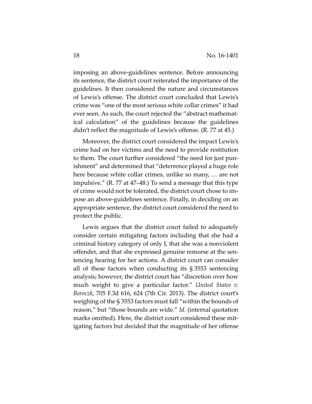imposing an above‐guidelines sentence. Before announcing its sentence, the district court reiterated the importance of the guidelines. It then considered the nature and circumstances of Lewis's offense. The district court concluded that Lewis's crime was "one of the most serious white collar crimes" it had ever seen. As such, the court rejected the "abstract mathematical calculation" of the guidelines because the guidelines didn't reflect the magnitude of Lewis's offense. (R. 77 at 45.)

Moreover, the district court considered the impact Lewis's crime had on her victims and the need to provide restitution to them. The court further considered "the need for just pun‐ ishment" and determined that "deterrence played a huge role here because white collar crimes, unlike so many, … are not impulsive." (R. 77 at 47–48.) To send a message that this type of crime would not be tolerated, the district court chose to im‐ pose an above‐guidelines sentence. Finally, in deciding on an appropriate sentence, the district court considered the need to protect the public.

Lewis argues that the district court failed to adequately consider certain mitigating factors including that she had a criminal history category of only I, that she was a nonviolent offender, and that she expressed genuine remorse at the sen‐ tencing hearing for her actions. A district court can consider all of these factors when conducting its § 3553 sentencing analysis; however, the district court has "discretion over how much weight to give a particular factor." *United States v. Boroczk*, 705 F.3d 616, 624 (7th Cir. 2013). The district court's weighing of the § 3553 factors must fall "within the bounds of reason," but "those bounds are wide." *Id.* (internal quotation marks omitted). Here, the district court considered these mit‐ igating factors but decided that the magnitude of her offense